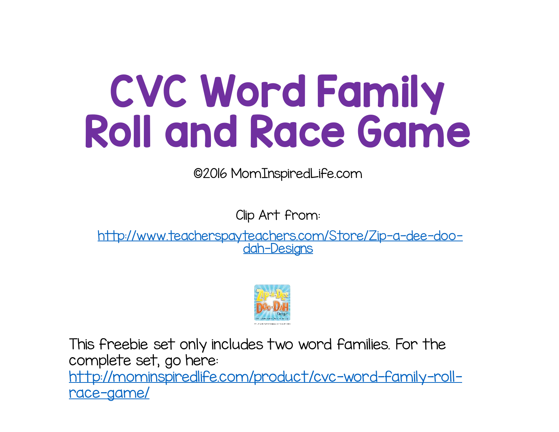## CVC Word Family Roll and Race Game

©2016 MomInspiredLife.com

Clip Art from:

http://www.teacherspayteachers.com/Store/Zip-a-dee-doodah-Designs



This freebie set only includes two word families. For the complete set, go here: http://mominspiredlife.com/product/cvc-word-family-rollrace-game/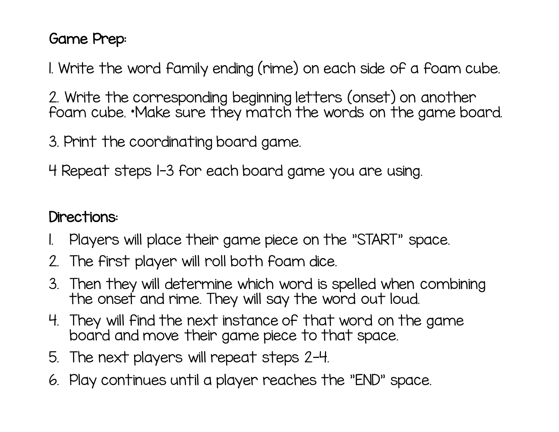## Game Prep:

1. Write the word family ending (rime) on each side of a foam cube.

2. Write the corresponding beginning letters (onset) on another foam cube. \*Make sure they match the words on the game board.

3. Print the coordinating board game.

4 Repeat steps 1-3 for each board game you are using.

## Directions:

- 1. Players will place their game piece on the "START" space.
- 2. The first player will roll both foam dice.
- 3. Then they will determine which word is spelled when combining the onset and rime. They will say the word out loud.
- 4. They will find the next instance of that word on the game board and move their game piece to that space.
- 5. The next players will repeat steps 2-4.
- 6. Play continues until a player reaches the "END" space.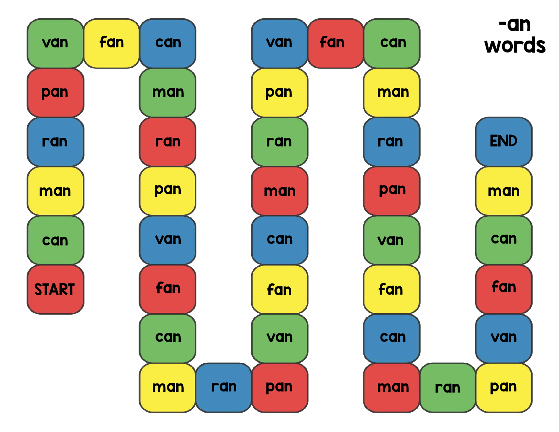